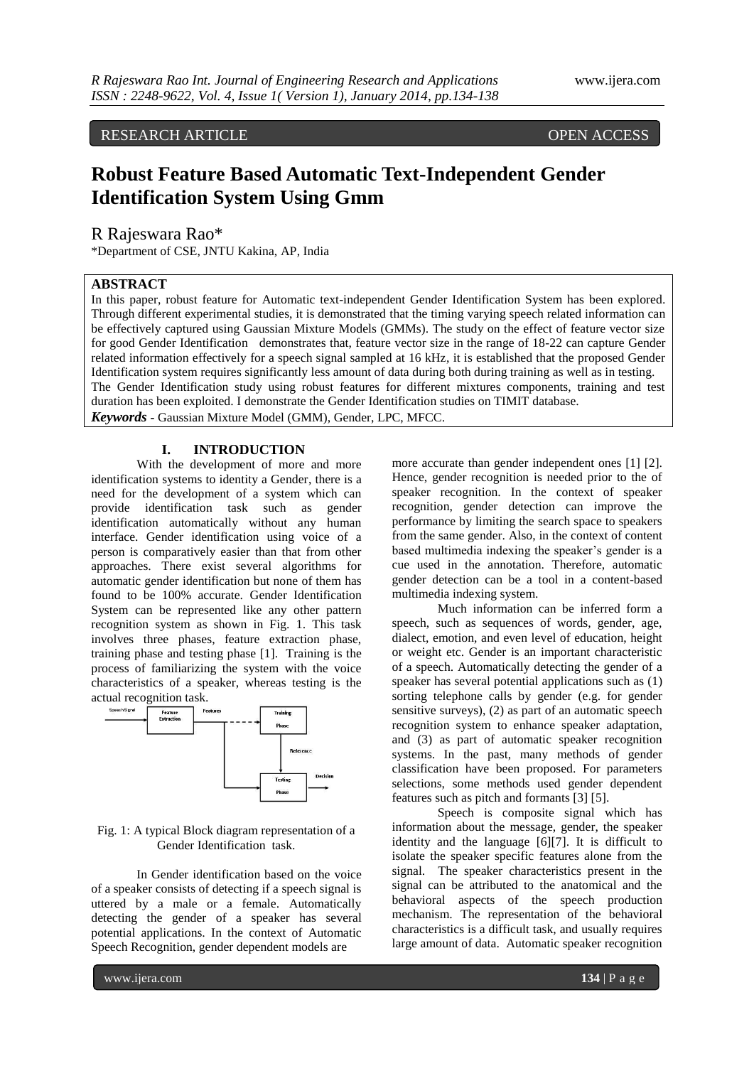RESEARCH ARTICLE OPEN ACCESS

# **Robust Feature Based Automatic Text-Independent Gender Identification System Using Gmm**

R Rajeswara Rao\*

\*Department of CSE, JNTU Kakina, AP, India

# **ABSTRACT**

In this paper, robust feature for Automatic text-independent Gender Identification System has been explored. Through different experimental studies, it is demonstrated that the timing varying speech related information can be effectively captured using Gaussian Mixture Models (GMMs). The study on the effect of feature vector size for good Gender Identification demonstrates that, feature vector size in the range of 18-22 can capture Gender related information effectively for a speech signal sampled at 16 kHz, it is established that the proposed Gender Identification system requires significantly less amount of data during both during training as well as in testing. The Gender Identification study using robust features for different mixtures components, training and test duration has been exploited. I demonstrate the Gender Identification studies on TIMIT database. *Keywords* **-** Gaussian Mixture Model (GMM), Gender, LPC, MFCC.

**I. INTRODUCTION**

With the development of more and more identification systems to identity a Gender, there is a need for the development of a system which can provide identification task such as gender identification automatically without any human interface. Gender identification using voice of a person is comparatively easier than that from other approaches. There exist several algorithms for automatic gender identification but none of them has found to be 100% accurate. Gender Identification System can be represented like any other pattern recognition system as shown in Fig. 1. This task involves three phases, feature extraction phase, training phase and testing phase [1]. Training is the process of familiarizing the system with the voice characteristics of a speaker, whereas testing is the



#### Fig. 1: A typical Block diagram representation of a Gender Identification task.

In Gender identification based on the voice of a speaker consists of detecting if a speech signal is uttered by a male or a female. Automatically detecting the gender of a speaker has several potential applications. In the context of Automatic Speech Recognition, gender dependent models are

more accurate than gender independent ones [1] [2]. Hence, gender recognition is needed prior to the of speaker recognition. In the context of speaker recognition, gender detection can improve the performance by limiting the search space to speakers from the same gender. Also, in the context of content based multimedia indexing the speaker"s gender is a cue used in the annotation. Therefore, automatic gender detection can be a tool in a content-based multimedia indexing system.

Much information can be inferred form a speech, such as sequences of words, gender, age, dialect, emotion, and even level of education, height or weight etc. Gender is an important characteristic of a speech. Automatically detecting the gender of a speaker has several potential applications such as (1) sorting telephone calls by gender (e.g. for gender sensitive surveys), (2) as part of an automatic speech recognition system to enhance speaker adaptation, and (3) as part of automatic speaker recognition systems. In the past, many methods of gender classification have been proposed. For parameters selections, some methods used gender dependent features such as pitch and formants [3] [5].

Speech is composite signal which has information about the message, gender, the speaker identity and the language [6][7]. It is difficult to isolate the speaker specific features alone from the signal. The speaker characteristics present in the signal can be attributed to the anatomical and the behavioral aspects of the speech production mechanism. The representation of the behavioral characteristics is a difficult task, and usually requires large amount of data. Automatic speaker recognition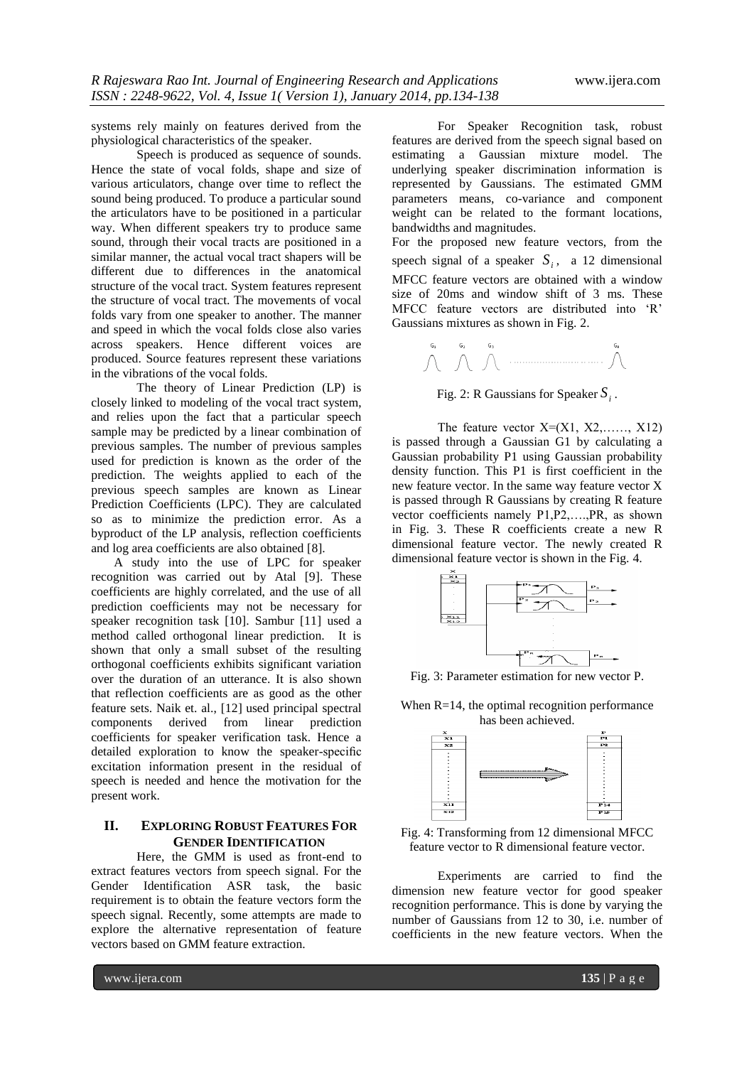systems rely mainly on features derived from the physiological characteristics of the speaker.

Speech is produced as sequence of sounds. Hence the state of vocal folds, shape and size of various articulators, change over time to reflect the sound being produced. To produce a particular sound the articulators have to be positioned in a particular way. When different speakers try to produce same sound, through their vocal tracts are positioned in a similar manner, the actual vocal tract shapers will be different due to differences in the anatomical structure of the vocal tract. System features represent the structure of vocal tract. The movements of vocal folds vary from one speaker to another. The manner and speed in which the vocal folds close also varies across speakers. Hence different voices are produced. Source features represent these variations in the vibrations of the vocal folds.

The theory of Linear Prediction (LP) is closely linked to modeling of the vocal tract system, and relies upon the fact that a particular speech sample may be predicted by a linear combination of previous samples. The number of previous samples used for prediction is known as the order of the prediction. The weights applied to each of the previous speech samples are known as Linear Prediction Coefficients (LPC). They are calculated so as to minimize the prediction error. As a byproduct of the LP analysis, reflection coefficients and log area coefficients are also obtained [8].

A study into the use of LPC for speaker recognition was carried out by Atal [9]. These coefficients are highly correlated, and the use of all prediction coefficients may not be necessary for speaker recognition task [10]. Sambur [11] used a method called orthogonal linear prediction. It is shown that only a small subset of the resulting orthogonal coefficients exhibits significant variation over the duration of an utterance. It is also shown that reflection coefficients are as good as the other feature sets. Naik et. al., [12] used principal spectral components derived from linear prediction coefficients for speaker verification task. Hence a detailed exploration to know the speaker-specific excitation information present in the residual of speech is needed and hence the motivation for the present work.

# **II. EXPLORING ROBUST FEATURES FOR GENDER IDENTIFICATION**

Here, the GMM is used as front-end to extract features vectors from speech signal. For the Gender Identification ASR task, the basic requirement is to obtain the feature vectors form the speech signal. Recently, some attempts are made to explore the alternative representation of feature vectors based on GMM feature extraction.

For Speaker Recognition task, robust features are derived from the speech signal based on estimating a Gaussian mixture model. The underlying speaker discrimination information is represented by Gaussians. The estimated GMM parameters means, co-variance and component weight can be related to the formant locations, bandwidths and magnitudes.

For the proposed new feature vectors, from the speech signal of a speaker  $S_i$ , a 12 dimensional MFCC feature vectors are obtained with a window size of 20ms and window shift of 3 ms. These MFCC feature vectors are distributed into "R" Gaussians mixtures as shown in Fig. 2.



Fig. 2: R Gaussians for Speaker  $S_i$ .

The feature vector  $X=(X1, X2, \ldots, X12)$ is passed through a Gaussian G1 by calculating a Gaussian probability P1 using Gaussian probability density function. This P1 is first coefficient in the new feature vector. In the same way feature vector X is passed through R Gaussians by creating R feature vector coefficients namely P1,P2,….,PR, as shown in Fig. 3. These R coefficients create a new R dimensional feature vector. The newly created R dimensional feature vector is shown in the Fig. 4.



Fig. 3: Parameter estimation for new vector P.

When R=14, the optimal recognition performance has been achieved.



Fig. 4: Transforming from 12 dimensional MFCC feature vector to R dimensional feature vector.

Experiments are carried to find the dimension new feature vector for good speaker recognition performance. This is done by varying the number of Gaussians from 12 to 30, i.e. number of coefficients in the new feature vectors. When the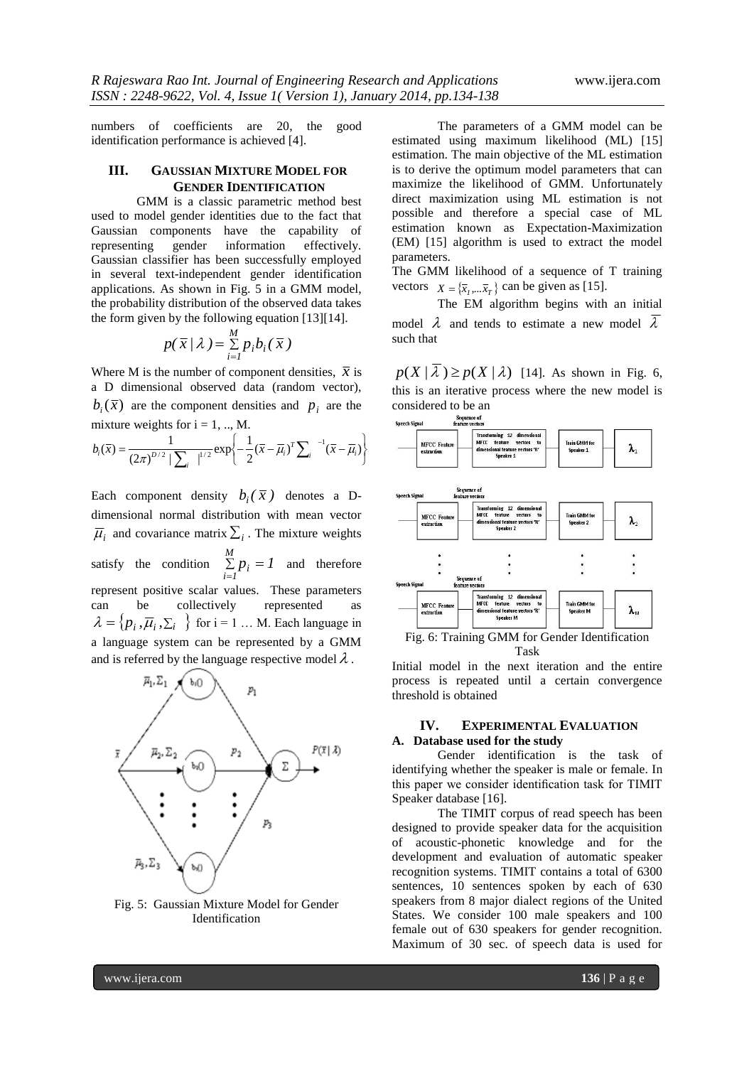numbers of coefficients are 20, the good identification performance is achieved [4].

## **III. GAUSSIAN MIXTURE MODEL FOR GENDER IDENTIFICATION**

GMM is a classic parametric method best used to model gender identities due to the fact that Gaussian components have the capability of representing gender information effectively. representing gender information effectively. Gaussian classifier has been successfully employed in several text-independent gender identification applications. As shown in Fig. 5 in a GMM model, the probability distribution of the observed data takes the form given by the following equation [13][14].

$$
p(\overline{x}/\lambda) = \sum_{i=1}^{M} p_i b_i(\overline{x})
$$

Where M is the number of component densities,  $\bar{x}$  is a D dimensional observed data (random vector),  $b_i(\bar{x})$  are the component densities and  $p_i$  are the mixture weights for  $i = 1, ..., M$ .

$$
b_i(\bar{x}) = \frac{1}{(2\pi)^{D/2} |\sum_i|^{1/2}} \exp\left\{-\frac{1}{2}(\bar{x} - \bar{\mu}_i)^T \sum_i e^{-1}(\bar{x} - \bar{\mu}_i)\right\}
$$

Each component density  $b_i(\bar{x})$  denotes a Ddimensional normal distribution with mean vector  $\overline{\mu}_i$  and covariance matrix  $\Sigma_i$ . The mixture weights satisfy the condition  $\sum_{i=1}^{M} p_i = 1$  $\sum_{i=1}^{n} p_i =$ and therefore represent positive scalar values. These parameters can be collectively represented as  $\lambda = \{p_i, \overline{\mu}_i, \sum_i \}$  for  $i = 1 \dots M$ . Each language in a language system can be represented by a GMM and is referred by the language respective model  $\lambda$ .



Fig. 5: Gaussian Mixture Model for Gender Identification

The parameters of a GMM model can be estimated using maximum likelihood (ML) [15] estimation. The main objective of the ML estimation is to derive the optimum model parameters that can maximize the likelihood of GMM. Unfortunately direct maximization using ML estimation is not possible and therefore a special case of ML estimation known as Expectation-Maximization (EM) [15] algorithm is used to extract the model parameters.

The GMM likelihood of a sequence of T training vectors  $X = \{\overline{x}_1, \dots, \overline{x}_T\}$  can be given as [15].

The EM algorithm begins with an initial model  $\lambda$  and tends to estimate a new model  $\lambda$ such that

 $p(X | \lambda) \ge p(X | \lambda)$  [14]. As shown in Fig. 6, this is an iterative process where the new model is considered to be an<br>
Sequence of<br>
Speech Signal<br>
feature vectors



Initial model in the next iteration and the entire process is repeated until a certain convergence threshold is obtained

# **IV. EXPERIMENTAL EVALUATION A. Database used for the study**

Gender identification is the task of identifying whether the speaker is male or female. In this paper we consider identification task for TIMIT Speaker database [16].

The TIMIT corpus of read speech has been designed to provide speaker data for the acquisition of acoustic-phonetic knowledge and for the development and evaluation of automatic speaker recognition systems. TIMIT contains a total of 6300 sentences, 10 sentences spoken by each of 630 speakers from 8 major dialect regions of the United States. We consider 100 male speakers and 100 female out of 630 speakers for gender recognition. Maximum of 30 sec. of speech data is used for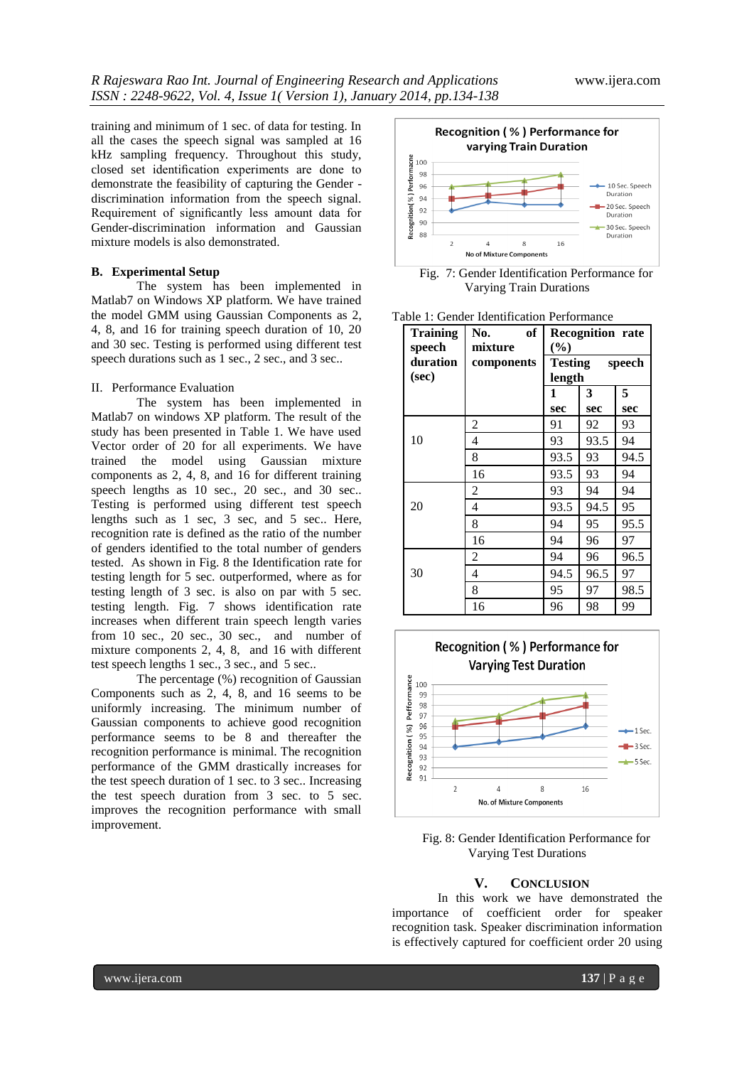training and minimum of 1 sec. of data for testing. In all the cases the speech signal was sampled at 16 kHz sampling frequency. Throughout this study, closed set identification experiments are done to demonstrate the feasibility of capturing the Gender discrimination information from the speech signal. Requirement of significantly less amount data for Gender-discrimination information and Gaussian mixture models is also demonstrated.

#### **B. Experimental Setup**

The system has been implemented in Matlab7 on Windows XP platform. We have trained the model GMM using Gaussian Components as 2, 4, 8, and 16 for training speech duration of 10, 20 and 30 sec. Testing is performed using different test speech durations such as 1 sec., 2 sec., and 3 sec..

#### II. Performance Evaluation

The system has been implemented in Matlab7 on windows XP platform. The result of the study has been presented in Table 1. We have used Vector order of 20 for all experiments. We have trained the model using Gaussian mixture components as 2, 4, 8, and 16 for different training speech lengths as 10 sec., 20 sec., and 30 sec.. Testing is performed using different test speech lengths such as 1 sec, 3 sec, and 5 sec.. Here, recognition rate is defined as the ratio of the number of genders identified to the total number of genders tested. As shown in Fig. 8 the Identification rate for testing length for 5 sec. outperformed, where as for testing length of 3 sec. is also on par with 5 sec. testing length. Fig. 7 shows identification rate increases when different train speech length varies from 10 sec., 20 sec., 30 sec., and number of mixture components 2, 4, 8, and 16 with different test speech lengths 1 sec., 3 sec., and 5 sec..

The percentage (%) recognition of Gaussian Components such as 2, 4, 8, and 16 seems to be uniformly increasing. The minimum number of Gaussian components to achieve good recognition performance seems to be 8 and thereafter the recognition performance is minimal. The recognition performance of the GMM drastically increases for the test speech duration of 1 sec. to 3 sec.. Increasing the test speech duration from 3 sec. to 5 sec. improves the recognition performance with small improvement.



Fig. 7: Gender Identification Performance for Varying Train Durations

| Table 1: Gender Identification Performance |  |
|--------------------------------------------|--|
|--------------------------------------------|--|

| <b>Training</b><br>speech | of<br>No.<br>mixture | <b>Recognition rate</b><br>$(\%)$<br><b>Testing</b><br>speech<br>length |      |      |
|---------------------------|----------------------|-------------------------------------------------------------------------|------|------|
| duration<br>(sec)         | components           |                                                                         |      |      |
|                           |                      | 1                                                                       | 3    | 5    |
|                           |                      | sec                                                                     | sec  | sec  |
|                           | 2                    | 91                                                                      | 92   | 93   |
| 10                        | 4                    | 93                                                                      | 93.5 | 94   |
|                           | 8                    | 93.5                                                                    | 93   | 94.5 |
|                           | 16                   | 93.5                                                                    | 93   | 94   |
|                           | $\overline{c}$       | 93                                                                      | 94   | 94   |
| 20                        | 4                    | 93.5                                                                    | 94.5 | 95   |
|                           | 8                    | 94                                                                      | 95   | 95.5 |
|                           | 16                   | 94                                                                      | 96   | 97   |
|                           | 2                    | 94                                                                      | 96   | 96.5 |
| 30                        | 4                    | 94.5                                                                    | 96.5 | 97   |
|                           | 8                    | 95                                                                      | 97   | 98.5 |
|                           | 16                   | 96                                                                      | 98   | 99   |



Fig. 8: Gender Identification Performance for Varying Test Durations

# **V. CONCLUSION**

In this work we have demonstrated the importance of coefficient order for speaker recognition task. Speaker discrimination information is effectively captured for coefficient order 20 using